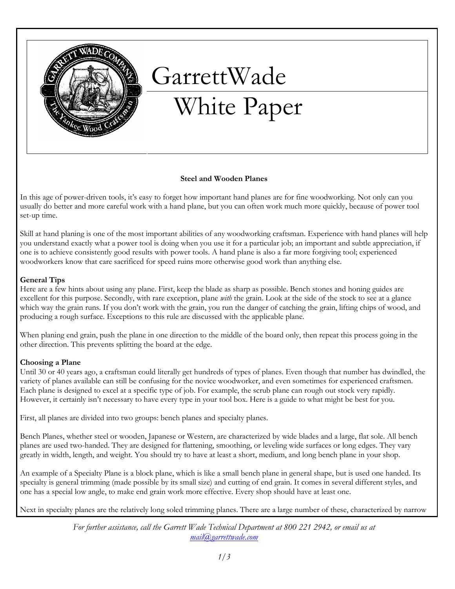

# GarrettWade White Paper

# Steel and Wooden Planes

In this age of power-driven tools, it's easy to forget how important hand planes are for fine woodworking. Not only can you usually do better and more careful work with a hand plane, but you can often work much more quickly, because of power tool set-up time.

Skill at hand planing is one of the most important abilities of any woodworking craftsman. Experience with hand planes will help you understand exactly what a power tool is doing when you use it for a particular job; an important and subtle appreciation, if one is to achieve consistently good results with power tools. A hand plane is also a far more forgiving tool; experienced woodworkers know that care sacrificed for speed ruins more otherwise good work than anything else.

## General Tips

Here are a few hints about using any plane. First, keep the blade as sharp as possible. Bench stones and honing guides are excellent for this purpose. Secondly, with rare exception, plane with the grain. Look at the side of the stock to see at a glance which way the grain runs. If you don't work with the grain, you run the danger of catching the grain, lifting chips of wood, and producing a rough surface. Exceptions to this rule are discussed with the applicable plane.

When planing end grain, push the plane in one direction to the middle of the board only, then repeat this process going in the other direction. This prevents splitting the board at the edge.

# Choosing a Plane

Until 30 or 40 years ago, a craftsman could literally get hundreds of types of planes. Even though that number has dwindled, the variety of planes available can still be confusing for the novice woodworker, and even sometimes for experienced craftsmen. Each plane is designed to excel at a specific type of job. For example, the scrub plane can rough out stock very rapidly. However, it certainly isn't necessary to have every type in your tool box. Here is a guide to what might be best for you.

First, all planes are divided into two groups: bench planes and specialty planes.

Bench Planes, whether steel or wooden, Japanese or Western, are characterized by wide blades and a large, flat sole. All bench planes are used two-handed. They are designed for flattening, smoothing, or leveling wide surfaces or long edges. They vary greatly in width, length, and weight. You should try to have at least a short, medium, and long bench plane in your shop.

An example of a Specialty Plane is a block plane, which is like a small bench plane in general shape, but is used one handed. Its specialty is general trimming (made possible by its small size) and cutting of end grain. It comes in several different styles, and one has a special low angle, to make end grain work more effective. Every shop should have at least one.

Next in specialty planes are the relatively long soled trimming planes. There are a large number of these, characterized by narrow

For further assistance, call the Garrett Wade Technical Department at 800 221 2942, or email us at mail@garrettwade.com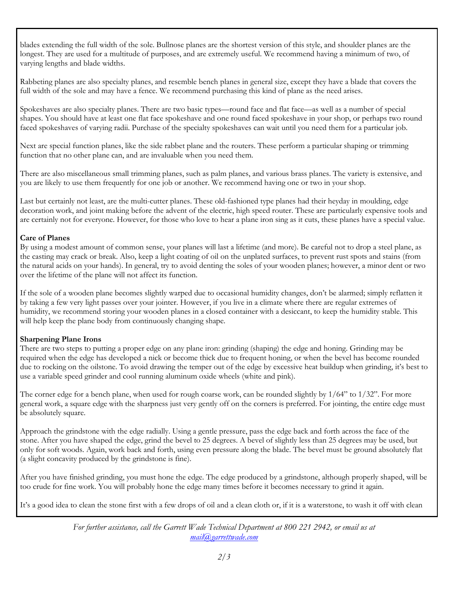blades extending the full width of the sole. Bullnose planes are the shortest version of this style, and shoulder planes are the longest. They are used for a multitude of purposes, and are extremely useful. We recommend having a minimum of two, of varying lengths and blade widths.

Rabbeting planes are also specialty planes, and resemble bench planes in general size, except they have a blade that covers the full width of the sole and may have a fence. We recommend purchasing this kind of plane as the need arises.

Spokeshaves are also specialty planes. There are two basic types—round face and flat face—as well as a number of special shapes. You should have at least one flat face spokeshave and one round faced spokeshave in your shop, or perhaps two round faced spokeshaves of varying radii. Purchase of the specialty spokeshaves can wait until you need them for a particular job.

Next are special function planes, like the side rabbet plane and the routers. These perform a particular shaping or trimming function that no other plane can, and are invaluable when you need them.

There are also miscellaneous small trimming planes, such as palm planes, and various brass planes. The variety is extensive, and you are likely to use them frequently for one job or another. We recommend having one or two in your shop.

Last but certainly not least, are the multi-cutter planes. These old-fashioned type planes had their heyday in moulding, edge decoration work, and joint making before the advent of the electric, high speed router. These are particularly expensive tools and are certainly not for everyone. However, for those who love to hear a plane iron sing as it cuts, these planes have a special value.

# Care of Planes

By using a modest amount of common sense, your planes will last a lifetime (and more). Be careful not to drop a steel plane, as the casting may crack or break. Also, keep a light coating of oil on the unplated surfaces, to prevent rust spots and stains (from the natural acids on your hands). In general, try to avoid denting the soles of your wooden planes; however, a minor dent or two over the lifetime of the plane will not affect its function.

If the sole of a wooden plane becomes slightly warped due to occasional humidity changes, don't be alarmed; simply reflatten it by taking a few very light passes over your jointer. However, if you live in a climate where there are regular extremes of humidity, we recommend storing your wooden planes in a closed container with a desiccant, to keep the humidity stable. This will help keep the plane body from continuously changing shape.

#### Sharpening Plane Irons

There are two steps to putting a proper edge on any plane iron: grinding (shaping) the edge and honing. Grinding may be required when the edge has developed a nick or become thick due to frequent honing, or when the bevel has become rounded due to rocking on the oilstone. To avoid drawing the temper out of the edge by excessive heat buildup when grinding, it's best to use a variable speed grinder and cool running aluminum oxide wheels (white and pink).

The corner edge for a bench plane, when used for rough coarse work, can be rounded slightly by  $1/64$ " to  $1/32$ ". For more general work, a square edge with the sharpness just very gently off on the corners is preferred. For jointing, the entire edge must be absolutely square.

Approach the grindstone with the edge radially. Using a gentle pressure, pass the edge back and forth across the face of the stone. After you have shaped the edge, grind the bevel to 25 degrees. A bevel of slightly less than 25 degrees may be used, but only for soft woods. Again, work back and forth, using even pressure along the blade. The bevel must be ground absolutely flat (a slight concavity produced by the grindstone is fine).

After you have finished grinding, you must hone the edge. The edge produced by a grindstone, although properly shaped, will be too crude for fine work. You will probably hone the edge many times before it becomes necessary to grind it again.

It's a good idea to clean the stone first with a few drops of oil and a clean cloth or, if it is a waterstone, to wash it off with clean

For further assistance, call the Garrett Wade Technical Department at 800 221 2942, or email us at mail@garrettwade.com